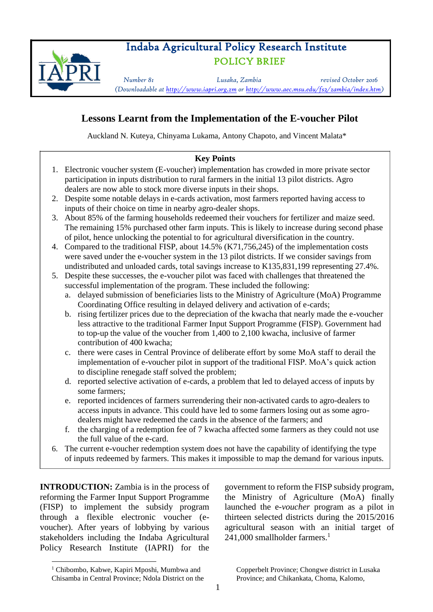# Indaba Agricultural Policy Research Institute POLICY BRIEF



*Number 81 Lusaka, Zambia revised October 2016 (Downloadable at http://www.iapri.org.zm or http://www.aec.msu.edu/fs2/zambia/index.htm)*

## **Lessons Learnt from the Implementation of the E-voucher Pilot**

Auckland N. Kuteya, Chinyama Lukama, Antony Chapoto, and Vincent Malata\*

### **Key Points**

- 1. Electronic voucher system (E-voucher) implementation has crowded in more private sector participation in inputs distribution to rural farmers in the initial 13 pilot districts. Agro dealers are now able to stock more diverse inputs in their shops.
- 2. Despite some notable delays in e-cards activation, most farmers reported having access to inputs of their choice on time in nearby agro-dealer shops.
- 3. About 85% of the farming households redeemed their vouchers for fertilizer and maize seed. The remaining 15% purchased other farm inputs. This is likely to increase during second phase of pilot, hence unlocking the potential to for agricultural diversification in the country.
- 4. Compared to the traditional FISP, about 14.5% (K71,756,245) of the implementation costs were saved under the e-voucher system in the 13 pilot districts. If we consider savings from undistributed and unloaded cards, total savings increase to K135,831,199 representing 27.4%.
- 5. Despite these successes, the e-voucher pilot was faced with challenges that threatened the successful implementation of the program. These included the following:
	- a. delayed submission of beneficiaries lists to the Ministry of Agriculture (MoA) Programme Coordinating Office resulting in delayed delivery and activation of e-cards;
	- b. rising fertilizer prices due to the depreciation of the kwacha that nearly made the e-voucher less attractive to the traditional Farmer Input Support Programme (FISP). Government had to top-up the value of the voucher from 1,400 to 2,100 kwacha, inclusive of farmer contribution of 400 kwacha;
	- c. there were cases in Central Province of deliberate effort by some MoA staff to derail the implementation of e-voucher pilot in support of the traditional FISP. MoA's quick action to discipline renegade staff solved the problem;
	- d. reported selective activation of e-cards, a problem that led to delayed access of inputs by some farmers;
	- e. reported incidences of farmers surrendering their non-activated cards to agro-dealers to access inputs in advance. This could have led to some farmers losing out as some agrodealers might have redeemed the cards in the absence of the farmers; and
	- f. the charging of a redemption fee of 7 kwacha affected some farmers as they could not use the full value of the e-card.
- 6. The current e-voucher redemption system does not have the capability of identifying the type of inputs redeemed by farmers. This makes it impossible to map the demand for various inputs.

**INTRODUCTION:** Zambia is in the process of reforming the Farmer Input Support Programme (FISP) to implement the subsidy program through a flexible electronic voucher (evoucher). After years of lobbying by various stakeholders including the Indaba Agricultural Policy Research Institute (IAPRI) for the

government to reform the FISP subsidy program, the Ministry of Agriculture (MoA) finally launched the e*-voucher* program as a pilot in thirteen selected districts during the 2015/2016 agricultural season with an initial target of 241,000 smallholder farmers.<sup>1</sup>

 $\overline{\phantom{a}}$ 

Copperbelt Province; Chongwe district in Lusaka Province; and Chikankata, Choma, Kalomo,

<sup>1</sup> Chibombo, Kabwe, Kapiri Mposhi, Mumbwa and Chisamba in Central Province; Ndola District on the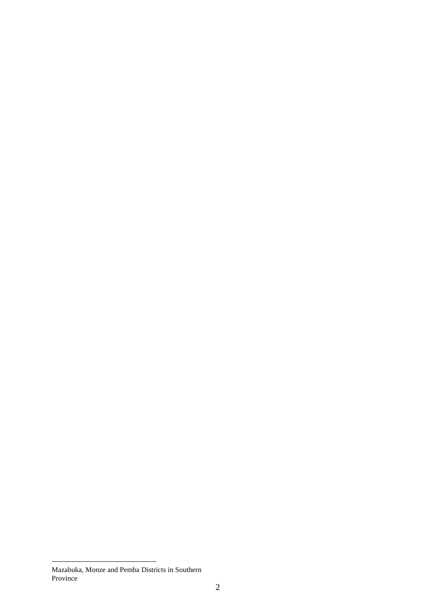$\overline{\phantom{a}}$ 

Mazabuka, Monze and Pemba Districts in Southern Province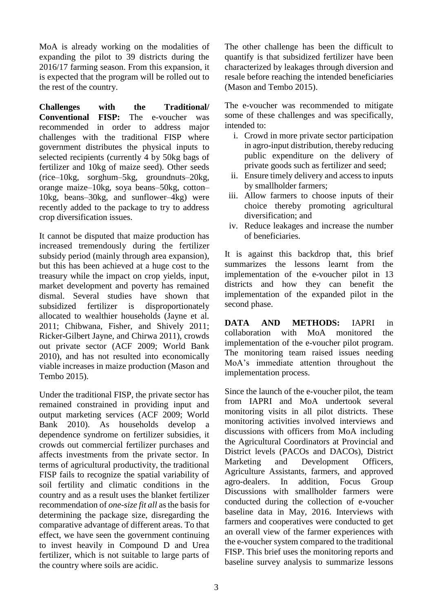MoA is already working on the modalities of expanding the pilot to 39 districts during the 2016/17 farming season. From this expansion, it is expected that the program will be rolled out to the rest of the country.

**Challenges with the Traditional/ Conventional FISP:** The e-voucher was recommended in order to address major challenges with the traditional FISP where government distributes the physical inputs to selected recipients (currently 4 by 50kg bags of fertilizer and 10kg of maize seed). Other seeds (rice–10kg, sorghum–5kg, groundnuts–20kg, orange maize–10kg, soya beans–50kg, cotton– 10kg, beans–30kg, and sunflower–4kg) were recently added to the package to try to address crop diversification issues.

It cannot be disputed that maize production has increased tremendously during the fertilizer subsidy period (mainly through area expansion), but this has been achieved at a huge cost to the treasury while the impact on crop yields, input, market development and poverty has remained dismal. Several studies have shown that subsidized fertilizer is disproportionately allocated to wealthier households (Jayne et al. 2011; Chibwana, Fisher, and Shively 2011; Ricker-Gilbert Jayne, and Chirwa 2011), crowds out private sector (ACF 2009; World Bank 2010), and has not resulted into economically viable increases in maize production (Mason and Tembo 2015).

Under the traditional FISP, the private sector has remained constrained in providing input and output marketing services (ACF 2009; World Bank 2010). As households develop a dependence syndrome on fertilizer subsidies, it crowds out commercial fertilizer purchases and affects investments from the private sector. In terms of agricultural productivity, the traditional FISP fails to recognize the spatial variability of soil fertility and climatic conditions in the country and as a result uses the blanket fertilizer recommendation of *one-size fit all* as the basis for determining the package size, disregarding the comparative advantage of different areas. To that effect, we have seen the government continuing to invest heavily in Compound D and Urea fertilizer, which is not suitable to large parts of the country where soils are acidic.

The other challenge has been the difficult to quantify is that subsidized fertilizer have been characterized by leakages through diversion and resale before reaching the intended beneficiaries (Mason and Tembo 2015).

The e-voucher was recommended to mitigate some of these challenges and was specifically, intended to:

- i. Crowd in more private sector participation in agro-input distribution, thereby reducing public expenditure on the delivery of private goods such as fertilizer and seed;
- ii. Ensure timely delivery and access to inputs by smallholder farmers;
- iii. Allow farmers to choose inputs of their choice thereby promoting agricultural diversification; and
- iv. Reduce leakages and increase the number of beneficiaries.

It is against this backdrop that, this brief summarizes the lessons learnt from the implementation of the e-voucher pilot in 13 districts and how they can benefit the implementation of the expanded pilot in the second phase.

**DATA AND METHODS:** IAPRI in collaboration with MoA monitored the implementation of the e-voucher pilot program. The monitoring team raised issues needing MoA's immediate attention throughout the implementation process.

Since the launch of the e-voucher pilot, the team from IAPRI and MoA undertook several monitoring visits in all pilot districts. These monitoring activities involved interviews and discussions with officers from MoA including the Agricultural Coordinators at Provincial and District levels (PACOs and DACOs), District Marketing and Development Officers, Agriculture Assistants, farmers, and approved agro-dealers. In addition, Focus Group Discussions with smallholder farmers were conducted during the collection of e-voucher baseline data in May, 2016. Interviews with farmers and cooperatives were conducted to get an overall view of the farmer experiences with the e-voucher system compared to the traditional FISP. This brief uses the monitoring reports and baseline survey analysis to summarize lessons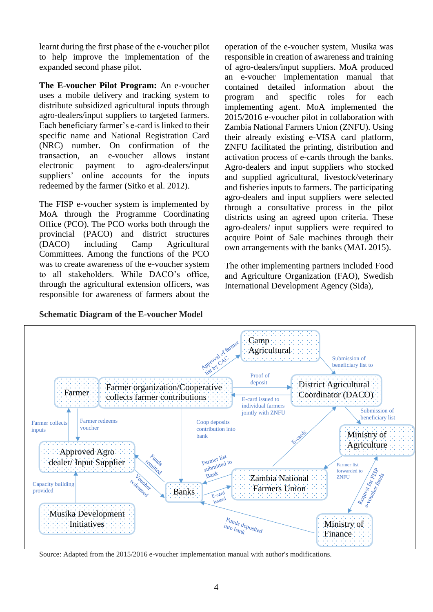learnt during the first phase of the e-voucher pilot to help improve the implementation of the expanded second phase pilot.

**The E-voucher Pilot Program:** An e-voucher uses a mobile delivery and tracking system to distribute subsidized agricultural inputs through agro-dealers/input suppliers to targeted farmers. Each beneficiary farmer's e-card is linked to their specific name and National Registration Card (NRC) number. On confirmation of the transaction, an e-voucher allows instant electronic payment to agro-dealers/input suppliers' online accounts for the inputs redeemed by the farmer (Sitko et al. 2012).

The FISP e-voucher system is implemented by MoA through the Programme Coordinating Office (PCO). The PCO works both through the provincial (PACO) and district structures (DACO) including Camp Agricultural Committees. Among the functions of the PCO was to create awareness of the e-voucher system to all stakeholders. While DACO's office, through the agricultural extension officers, was responsible for awareness of farmers about the

operation of the e-voucher system, Musika was responsible in creation of awareness and training of agro-dealers/input suppliers. MoA produced an e-voucher implementation manual that contained detailed information about the program and specific roles for each implementing agent. MoA implemented the 2015/2016 e-voucher pilot in collaboration with Zambia National Farmers Union (ZNFU). Using their already existing e-VISA card platform, ZNFU facilitated the printing, distribution and activation process of e-cards through the banks. Agro-dealers and input suppliers who stocked and supplied agricultural, livestock/veterinary and fisheries inputs to farmers. The participating agro-dealers and input suppliers were selected through a consultative process in the pilot districts using an agreed upon criteria. These agro-dealers/ input suppliers were required to acquire Point of Sale machines through their own arrangements with the banks (MAL 2015).

The other implementing partners included Food and Agriculture Organization (FAO), Swedish International Development Agency (Sida),



Source: Adapted from the 2015/2016 e-voucher implementation manual with author's modifications.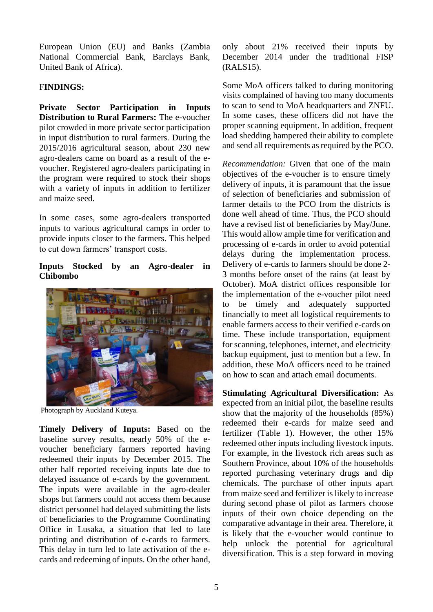European Union (EU) and Banks (Zambia National Commercial Bank, Barclays Bank, United Bank of Africa).

#### F**INDINGS:**

**Private Sector Participation in Inputs Distribution to Rural Farmers:** The e-voucher pilot crowded in more private sector participation in input distribution to rural farmers. During the 2015/2016 agricultural season, about 230 new agro-dealers came on board as a result of the evoucher. Registered agro-dealers participating in the program were required to stock their shops with a variety of inputs in addition to fertilizer and maize seed.

In some cases, some agro-dealers transported inputs to various agricultural camps in order to provide inputs closer to the farmers. This helped to cut down farmers' transport costs.

#### **Inputs Stocked by an Agro-dealer in Chibombo**



Photograph by Auckland Kuteya.

**Timely Delivery of Inputs:** Based on the baseline survey results, nearly 50% of the evoucher beneficiary farmers reported having redeemed their inputs by December 2015. The other half reported receiving inputs late due to delayed issuance of e-cards by the government. The inputs were available in the agro-dealer shops but farmers could not access them because district personnel had delayed submitting the lists of beneficiaries to the Programme Coordinating Office in Lusaka, a situation that led to late printing and distribution of e-cards to farmers. This delay in turn led to late activation of the ecards and redeeming of inputs. On the other hand,

only about 21% received their inputs by December 2014 under the traditional FISP (RALS15).

Some MoA officers talked to during monitoring visits complained of having too many documents to scan to send to MoA headquarters and ZNFU. In some cases, these officers did not have the proper scanning equipment. In addition, frequent load shedding hampered their ability to complete and send all requirements as required by the PCO.

*Recommendation:* Given that one of the main objectives of the e-voucher is to ensure timely delivery of inputs, it is paramount that the issue of selection of beneficiaries and submission of farmer details to the PCO from the districts is done well ahead of time. Thus, the PCO should have a revised list of beneficiaries by May/June. This would allow ample time for verification and processing of e-cards in order to avoid potential delays during the implementation process. Delivery of e-cards to farmers should be done 2- 3 months before onset of the rains (at least by October). MoA district offices responsible for the implementation of the e-voucher pilot need to be timely and adequately supported financially to meet all logistical requirements to enable farmers access to their verified e-cards on time. These include transportation, equipment for scanning, telephones, internet, and electricity backup equipment, just to mention but a few. In addition, these MoA officers need to be trained on how to scan and attach email documents.

**Stimulating Agricultural Diversification:** As expected from an initial pilot, the baseline results show that the majority of the households (85%) redeemed their e-cards for maize seed and fertilizer (Table 1). However, the other 15% redeemed other inputs including livestock inputs. For example, in the livestock rich areas such as Southern Province, about 10% of the households reported purchasing veterinary drugs and dip chemicals. The purchase of other inputs apart from maize seed and fertilizer is likely to increase during second phase of pilot as farmers choose inputs of their own choice depending on the comparative advantage in their area. Therefore, it is likely that the e-voucher would continue to help unlock the potential for agricultural diversification. This is a step forward in moving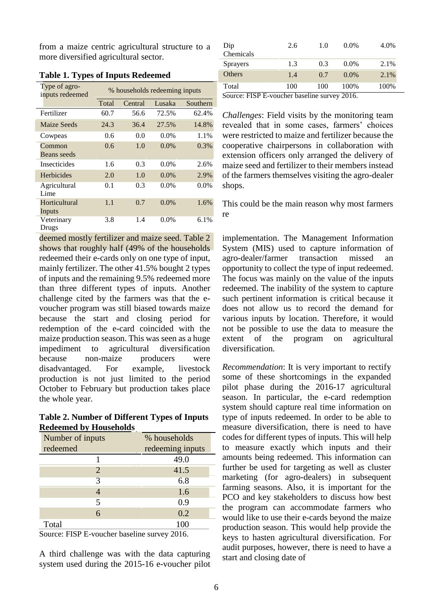from a maize centric agricultural structure to a more diversified agricultural sector.

| Type of agro-<br>inputs redeemed  | % households redeeming inputs |         |         |          |  |
|-----------------------------------|-------------------------------|---------|---------|----------|--|
|                                   | Total                         | Central | Lusaka  | Southern |  |
| Fertilizer                        | 60.7                          | 56.6    | 72.5%   | 62.4%    |  |
| Maize Seeds                       | 24.3                          | 36.4    | 27.5%   | 14.8%    |  |
| Cowpeas                           | 0.6                           | 0.0     | $0.0\%$ | 1.1%     |  |
| Common<br>Beans seeds             | 0.6                           | 1.0     | $0.0\%$ | $0.3\%$  |  |
| <i><u><b>Insecticides</b></u></i> | 1.6                           | 0.3     | $0.0\%$ | 2.6%     |  |
| Herbicides                        | 2.0                           | 1.0     | $0.0\%$ | 2.9%     |  |
| Agricultural<br>Lime              | 0.1                           | 0.3     | $0.0\%$ | $0.0\%$  |  |
| Horticultural<br>Inputs           | 1.1                           | 0.7     | 0.0%    | 1.6%     |  |
| Veterinary<br>Drugs               | 3.8                           | 1.4     | $0.0\%$ | 6.1%     |  |

| <b>Table 1. Types of Inputs Redeemed</b> |  |  |  |
|------------------------------------------|--|--|--|
|                                          |  |  |  |

deemed mostly fertilizer and maize seed. Table 2 shows that roughly half (49% of the households redeemed their e-cards only on one type of input, mainly fertilizer. The other 41.5% bought 2 types of inputs and the remaining 9.5% redeemed more than three different types of inputs. Another challenge cited by the farmers was that the evoucher program was still biased towards maize because the start and closing period for redemption of the e-card coincided with the maize production season. This was seen as a huge impediment to agricultural diversification because non-maize producers were disadvantaged. For example, livestock production is not just limited to the period October to February but production takes place the whole year.

**Table 2. Number of Different Types of Inputs Redeemed by Households**

| $\sim$           |                  |  |  |  |  |
|------------------|------------------|--|--|--|--|
| Number of inputs | % households     |  |  |  |  |
| redeemed         | redeeming inputs |  |  |  |  |
|                  | 49.0             |  |  |  |  |
| 2                | 41.5             |  |  |  |  |
| 3                | 6.8              |  |  |  |  |
|                  | 1.6              |  |  |  |  |
| 5                | 0.9              |  |  |  |  |
| 6                | 0.2              |  |  |  |  |
| Total            | 100              |  |  |  |  |

Source: FISP E-voucher baseline survey 2016.

A third challenge was with the data capturing system used during the 2015-16 e-voucher pilot

Source: FISP E-voucher baseline survey 2016.

*Challenges*: Field visits by the monitoring team revealed that in some cases, farmers' choices were restricted to maize and fertilizer because the cooperative chairpersons in collaboration with extension officers only arranged the delivery of maize seed and fertilizer to their members instead of the farmers themselves visiting the agro-dealer shops.

This could be the main reason why most farmers re

implementation. The Management Information System (MIS) used to capture information of agro-dealer/farmer transaction missed an opportunity to collect the type of input redeemed. The focus was mainly on the value of the inputs redeemed. The inability of the system to capture such pertinent information is critical because it does not allow us to record the demand for various inputs by location. Therefore, it would not be possible to use the data to measure the extent of the program on agricultural diversification.

*Recommendation*: It is very important to rectify some of these shortcomings in the expanded pilot phase during the 2016-17 agricultural season. In particular, the e-card redemption system should capture real time information on type of inputs redeemed. In order to be able to measure diversification, there is need to have codes for different types of inputs. This will help to measure exactly which inputs and their amounts being redeemed. This information can further be used for targeting as well as cluster marketing (for agro-dealers) in subsequent farming seasons. Also, it is important for the PCO and key stakeholders to discuss how best the program can accommodate farmers who would like to use their e-cards beyond the maize production season. This would help provide the keys to hasten agricultural diversification. For audit purposes, however, there is need to have a start and closing date of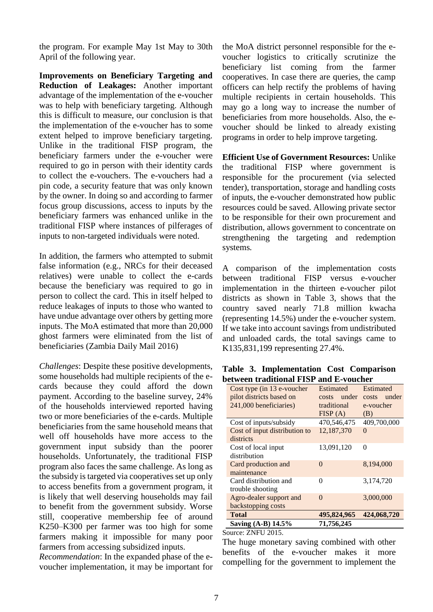the program. For example May 1st May to 30th April of the following year.

**Improvements on Beneficiary Targeting and Reduction of Leakages:** Another important advantage of the implementation of the e-voucher was to help with beneficiary targeting. Although this is difficult to measure, our conclusion is that the implementation of the e-voucher has to some extent helped to improve beneficiary targeting. Unlike in the traditional FISP program, the beneficiary farmers under the e-voucher were required to go in person with their identity cards to collect the e-vouchers. The e-vouchers had a pin code, a security feature that was only known by the owner. In doing so and according to farmer focus group discussions, access to inputs by the beneficiary farmers was enhanced unlike in the traditional FISP where instances of pilferages of inputs to non-targeted individuals were noted.

In addition, the farmers who attempted to submit false information (e.g., NRCs for their deceased relatives) were unable to collect the e-cards because the beneficiary was required to go in person to collect the card. This in itself helped to reduce leakages of inputs to those who wanted to have undue advantage over others by getting more inputs. The MoA estimated that more than 20,000 ghost farmers were eliminated from the list of beneficiaries (Zambia Daily Mail 2016)

*Challenges*: Despite these positive developments, some households had multiple recipients of the ecards because they could afford the down payment. According to the baseline survey, 24% of the households interviewed reported having two or more beneficiaries of the e-cards. Multiple beneficiaries from the same household means that well off households have more access to the government input subsidy than the poorer households. Unfortunately, the traditional FISP program also faces the same challenge. As long as the subsidy is targeted via cooperatives set up only to access benefits from a government program, it is likely that well deserving households may fail to benefit from the government subsidy. Worse still, cooperative membership fee of around K250–K300 per farmer was too high for some farmers making it impossible for many poor farmers from accessing subsidized inputs.

*Recommendation*: In the expanded phase of the evoucher implementation, it may be important for the MoA district personnel responsible for the evoucher logistics to critically scrutinize the beneficiary list coming from the farmer cooperatives. In case there are queries, the camp officers can help rectify the problems of having multiple recipients in certain households. This may go a long way to increase the number of beneficiaries from more households. Also, the evoucher should be linked to already existing programs in order to help improve targeting.

**Efficient Use of Government Resources:** Unlike the traditional FISP where government is responsible for the procurement (via selected tender), transportation, storage and handling costs of inputs, the e-voucher demonstrated how public resources could be saved. Allowing private sector to be responsible for their own procurement and distribution, allows government to concentrate on strengthening the targeting and redemption systems*.*

A comparison of the implementation costs between traditional FISP versus e-voucher implementation in the thirteen e-voucher pilot districts as shown in Table 3, shows that the country saved nearly 71.8 million kwacha (representing 14.5%) under the e-voucher system. If we take into account savings from undistributed and unloaded cards, the total savings came to K135,831,199 representing 27.4%.

**Table 3. Implementation Cost Comparison between traditional FISP and E-voucher**

| Cost type (in 13 e-voucher    | Estimated              | Estimated             |  |
|-------------------------------|------------------------|-----------------------|--|
| pilot districts based on      | under<br>costs         | under<br><b>costs</b> |  |
| 241,000 beneficiaries)        | traditional            | e-voucher             |  |
|                               | FISP(A)                | (B)                   |  |
| Cost of inputs/subsidy        | 470,546,475            | 409,700,000           |  |
| Cost of input distribution to | 12,187,370<br>$\Omega$ |                       |  |
| districts                     |                        |                       |  |
| Cost of local input           | 13,091,120             | 0                     |  |
| distribution                  |                        |                       |  |
| Card production and           | $\Omega$               | 8,194,000             |  |
| maintenance                   |                        |                       |  |
| Card distribution and         | 0<br>3,174,720         |                       |  |
| trouble shooting              |                        |                       |  |
| Agro-dealer support and       | $\Omega$               | 3,000,000             |  |
| backstopping costs            |                        |                       |  |
| <b>Total</b>                  | 495,824,965            | 424,068,720           |  |
| Saving (A-B) 14.5%            | 71,756,245             |                       |  |

#### Source: ZNFU 2015.

The huge monetary saving combined with other benefits of the e-voucher makes it more compelling for the government to implement the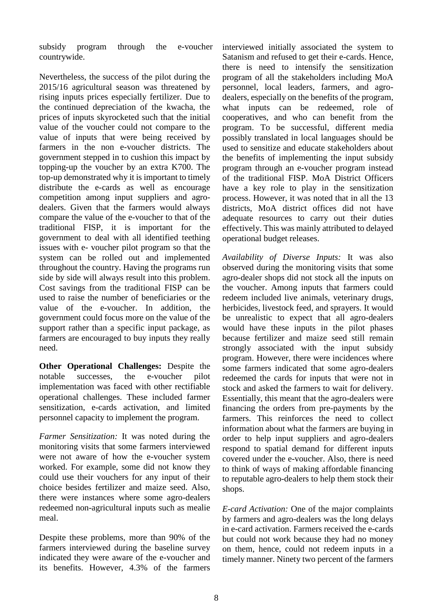subsidy program through the e-voucher countrywide.

Nevertheless, the success of the pilot during the 2015/16 agricultural season was threatened by rising inputs prices especially fertilizer. Due to the continued depreciation of the kwacha, the prices of inputs skyrocketed such that the initial value of the voucher could not compare to the value of inputs that were being received by farmers in the non e-voucher districts. The government stepped in to cushion this impact by topping-up the voucher by an extra K700. The top-up demonstrated why it is important to timely distribute the e-cards as well as encourage competition among input suppliers and agrodealers. Given that the farmers would always compare the value of the e-voucher to that of the traditional FISP, it is important for the government to deal with all identified teething issues with e- voucher pilot program so that the system can be rolled out and implemented throughout the country. Having the programs run side by side will always result into this problem. Cost savings from the traditional FISP can be used to raise the number of beneficiaries or the value of the e-voucher. In addition, the government could focus more on the value of the support rather than a specific input package, as farmers are encouraged to buy inputs they really need.

**Other Operational Challenges:** Despite the notable successes, the e-voucher pilot implementation was faced with other rectifiable operational challenges. These included farmer sensitization, e-cards activation, and limited personnel capacity to implement the program.

*Farmer Sensitization:* It was noted during the monitoring visits that some farmers interviewed were not aware of how the e-voucher system worked. For example, some did not know they could use their vouchers for any input of their choice besides fertilizer and maize seed. Also, there were instances where some agro-dealers redeemed non-agricultural inputs such as mealie meal.

Despite these problems, more than 90% of the farmers interviewed during the baseline survey indicated they were aware of the e-voucher and its benefits. However, 4.3% of the farmers

interviewed initially associated the system to Satanism and refused to get their e-cards. Hence, there is need to intensify the sensitization program of all the stakeholders including MoA personnel, local leaders, farmers, and agrodealers, especially on the benefits of the program, what inputs can be redeemed, role of cooperatives, and who can benefit from the program. To be successful, different media possibly translated in local languages should be used to sensitize and educate stakeholders about the benefits of implementing the input subsidy program through an e-voucher program instead of the traditional FISP. MoA District Officers have a key role to play in the sensitization process. However, it was noted that in all the 13 districts, MoA district offices did not have adequate resources to carry out their duties effectively. This was mainly attributed to delayed operational budget releases.

*Availability of Diverse Inputs:* It was also observed during the monitoring visits that some agro-dealer shops did not stock all the inputs on the voucher. Among inputs that farmers could redeem included live animals, veterinary drugs, herbicides, livestock feed, and sprayers. It would be unrealistic to expect that all agro-dealers would have these inputs in the pilot phases because fertilizer and maize seed still remain strongly associated with the input subsidy program. However, there were incidences where some farmers indicated that some agro-dealers redeemed the cards for inputs that were not in stock and asked the farmers to wait for delivery. Essentially, this meant that the agro-dealers were financing the orders from pre-payments by the farmers. This reinforces the need to collect information about what the farmers are buying in order to help input suppliers and agro-dealers respond to spatial demand for different inputs covered under the e-voucher. Also, there is need to think of ways of making affordable financing to reputable agro-dealers to help them stock their shops.

*E-card Activation:* One of the major complaints by farmers and agro-dealers was the long delays in e-card activation. Farmers received the e-cards but could not work because they had no money on them, hence, could not redeem inputs in a timely manner. Ninety two percent of the farmers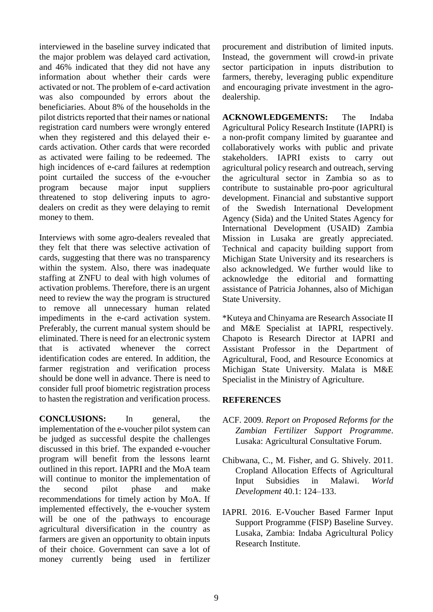interviewed in the baseline survey indicated that the major problem was delayed card activation, and 46% indicated that they did not have any information about whether their cards were activated or not. The problem of e-card activation was also compounded by errors about the beneficiaries. About 8% of the households in the pilot districts reported that their names or national registration card numbers were wrongly entered when they registered and this delayed their ecards activation. Other cards that were recorded as activated were failing to be redeemed. The high incidences of e-card failures at redemption point curtailed the success of the e-voucher program because major input suppliers threatened to stop delivering inputs to agrodealers on credit as they were delaying to remit money to them.

Interviews with some agro-dealers revealed that they felt that there was selective activation of cards, suggesting that there was no transparency within the system. Also, there was inadequate staffing at ZNFU to deal with high volumes of activation problems. Therefore, there is an urgent need to review the way the program is structured to remove all unnecessary human related impediments in the e-card activation system. Preferably, the current manual system should be eliminated. There is need for an electronic system that is activated whenever the correct identification codes are entered. In addition, the farmer registration and verification process should be done well in advance. There is need to consider full proof biometric registration process to hasten the registration and verification process.

**CONCLUSIONS:** In general, the implementation of the e-voucher pilot system can be judged as successful despite the challenges discussed in this brief. The expanded e-voucher program will benefit from the lessons learnt outlined in this report. IAPRI and the MoA team will continue to monitor the implementation of the second pilot phase and make recommendations for timely action by MoA. If implemented effectively, the e-voucher system will be one of the pathways to encourage agricultural diversification in the country as farmers are given an opportunity to obtain inputs of their choice. Government can save a lot of money currently being used in fertilizer procurement and distribution of limited inputs. Instead, the government will crowd-in private sector participation in inputs distribution to farmers, thereby, leveraging public expenditure and encouraging private investment in the agrodealership.

**ACKNOWLEDGEMENTS:** The Indaba Agricultural Policy Research Institute (IAPRI) is a non-profit company limited by guarantee and collaboratively works with public and private stakeholders. IAPRI exists to carry out agricultural policy research and outreach, serving the agricultural sector in Zambia so as to contribute to sustainable pro-poor agricultural development. Financial and substantive support of the Swedish International Development Agency (Sida) and the United States Agency for International Development (USAID) Zambia Mission in Lusaka are greatly appreciated. Technical and capacity building support from Michigan State University and its researchers is also acknowledged. We further would like to acknowledge the editorial and formatting assistance of Patricia Johannes, also of Michigan State University.

\*Kuteya and Chinyama are Research Associate II and M&E Specialist at IAPRI, respectively. Chapoto is Research Director at IAPRI and Assistant Professor in the Department of Agricultural, Food, and Resource Economics at Michigan State University. Malata is M&E Specialist in the Ministry of Agriculture.

#### **REFERENCES**

- ACF. 2009. *Report on Proposed Reforms for the Zambian Fertilizer Support Programme*. Lusaka: Agricultural Consultative Forum.
- Chibwana, C., M. Fisher, and G. Shively. 2011. Cropland Allocation Effects of Agricultural Input Subsidies in Malawi. *World Development* 40.1: 124–133.
- IAPRI. 2016. E-Voucher Based Farmer Input Support Programme (FISP) Baseline Survey. Lusaka, Zambia: Indaba Agricultural Policy Research Institute.